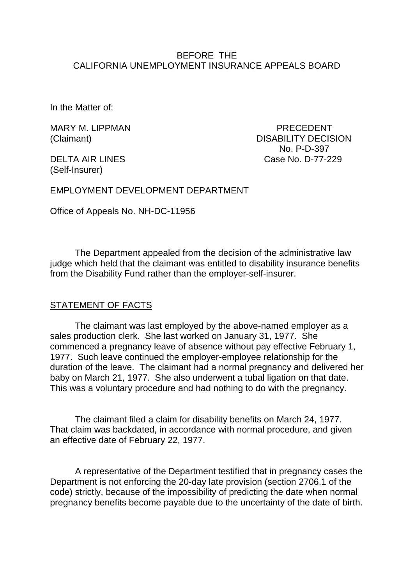### BEFORE THE CALIFORNIA UNEMPLOYMENT INSURANCE APPEALS BOARD

In the Matter of:

MARY M. LIPPMAN PRECEDENT

(Self-Insurer)

(Claimant) DISABILITY DECISION No. P-D-397 DELTA AIR LINES Case No. D-77-229

EMPLOYMENT DEVELOPMENT DEPARTMENT

Office of Appeals No. NH-DC-11956

The Department appealed from the decision of the administrative law judge which held that the claimant was entitled to disability insurance benefits from the Disability Fund rather than the employer-self-insurer.

## STATEMENT OF FACTS

The claimant was last employed by the above-named employer as a sales production clerk. She last worked on January 31, 1977. She commenced a pregnancy leave of absence without pay effective February 1, 1977. Such leave continued the employer-employee relationship for the duration of the leave. The claimant had a normal pregnancy and delivered her baby on March 21, 1977. She also underwent a tubal ligation on that date. This was a voluntary procedure and had nothing to do with the pregnancy.

The claimant filed a claim for disability benefits on March 24, 1977. That claim was backdated, in accordance with normal procedure, and given an effective date of February 22, 1977.

A representative of the Department testified that in pregnancy cases the Department is not enforcing the 20-day late provision (section 2706.1 of the code) strictly, because of the impossibility of predicting the date when normal pregnancy benefits become payable due to the uncertainty of the date of birth.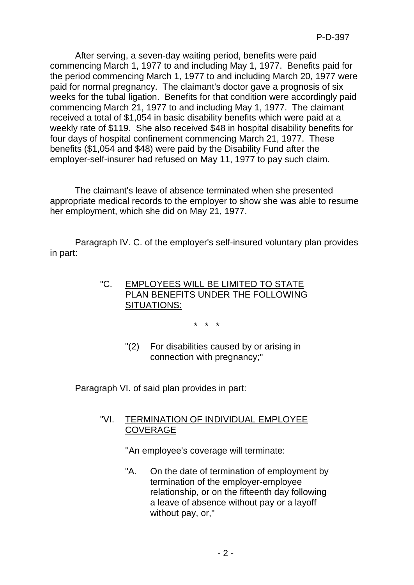After serving, a seven-day waiting period, benefits were paid commencing March 1, 1977 to and including May 1, 1977. Benefits paid for the period commencing March 1, 1977 to and including March 20, 1977 were paid for normal pregnancy. The claimant's doctor gave a prognosis of six weeks for the tubal ligation. Benefits for that condition were accordingly paid commencing March 21, 1977 to and including May 1, 1977. The claimant received a total of \$1,054 in basic disability benefits which were paid at a weekly rate of \$119. She also received \$48 in hospital disability benefits for four days of hospital confinement commencing March 21, 1977. These benefits (\$1,054 and \$48) were paid by the Disability Fund after the employer-self-insurer had refused on May 11, 1977 to pay such claim.

The claimant's leave of absence terminated when she presented appropriate medical records to the employer to show she was able to resume her employment, which she did on May 21, 1977.

Paragraph IV. C. of the employer's self-insured voluntary plan provides in part:

## "C. EMPLOYEES WILL BE LIMITED TO STATE PLAN BENEFITS UNDER THE FOLLOWING SITUATIONS:

\* \* \*

"(2) For disabilities caused by or arising in connection with pregnancy;"

Paragraph VI. of said plan provides in part:

## "VI. TERMINATION OF INDIVIDUAL EMPLOYEE COVERAGE

''An employee's coverage will terminate:

"A. On the date of termination of employment by termination of the employer-employee relationship, or on the fifteenth day following a leave of absence without pay or a layoff without pay, or,"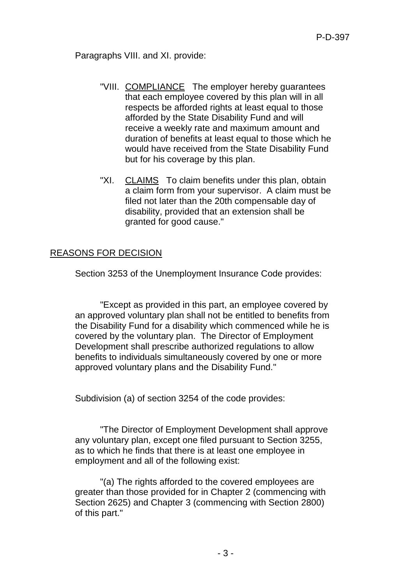Paragraphs VIII. and XI. provide:

- "VIII. COMPLIANCE The employer hereby guarantees that each employee covered by this plan will in all respects be afforded rights at least equal to those afforded by the State Disability Fund and will receive a weekly rate and maximum amount and duration of benefits at least equal to those which he would have received from the State Disability Fund but for his coverage by this plan.
- "XI. CLAIMS To claim benefits under this plan, obtain a claim form from your supervisor. A claim must be filed not later than the 20th compensable day of disability, provided that an extension shall be granted for good cause."

# REASONS FOR DECISION

Section 3253 of the Unemployment Insurance Code provides:

"Except as provided in this part, an employee covered by an approved voluntary plan shall not be entitled to benefits from the Disability Fund for a disability which commenced while he is covered by the voluntary plan. The Director of Employment Development shall prescribe authorized regulations to allow benefits to individuals simultaneously covered by one or more approved voluntary plans and the Disability Fund."

Subdivision (a) of section 3254 of the code provides:

"The Director of Employment Development shall approve any voluntary plan, except one filed pursuant to Section 3255, as to which he finds that there is at least one employee in employment and all of the following exist:

"(a) The rights afforded to the covered employees are greater than those provided for in Chapter 2 (commencing with Section 2625) and Chapter 3 (commencing with Section 2800) of this part."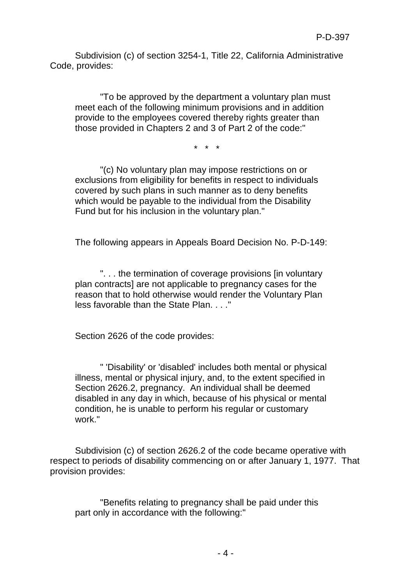Subdivision (c) of section 3254-1, Title 22, California Administrative Code, provides:

"To be approved by the department a voluntary plan must meet each of the following minimum provisions and in addition provide to the employees covered thereby rights greater than those provided in Chapters 2 and 3 of Part 2 of the code:"

\* \* \*

"(c) No voluntary plan may impose restrictions on or exclusions from eligibility for benefits in respect to individuals covered by such plans in such manner as to deny benefits which would be payable to the individual from the Disability Fund but for his inclusion in the voluntary plan."

The following appears in Appeals Board Decision No. P-D-149:

". . . the termination of coverage provisions [in voluntary plan contracts] are not applicable to pregnancy cases for the reason that to hold otherwise would render the Voluntary Plan less favorable than the State Plan. . . . "

Section 2626 of the code provides:

" 'Disability' or 'disabled' includes both mental or physical illness, mental or physical injury, and, to the extent specified in Section 2626.2, pregnancy. An individual shall be deemed disabled in any day in which, because of his physical or mental condition, he is unable to perform his regular or customary work."

Subdivision (c) of section 2626.2 of the code became operative with respect to periods of disability commencing on or after January 1, 1977. That provision provides:

"Benefits relating to pregnancy shall be paid under this part only in accordance with the following:"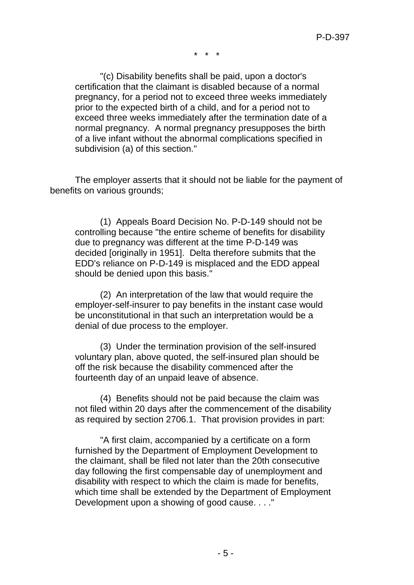\* \* \*

"(c) Disability benefits shall be paid, upon a doctor's certification that the claimant is disabled because of a normal pregnancy, for a period not to exceed three weeks immediately prior to the expected birth of a child, and for a period not to exceed three weeks immediately after the termination date of a normal pregnancy. A normal pregnancy presupposes the birth of a live infant without the abnormal complications specified in subdivision (a) of this section."

The employer asserts that it should not be liable for the payment of benefits on various grounds;

(1) Appeals Board Decision No. P-D-149 should not be controlling because "the entire scheme of benefits for disability due to pregnancy was different at the time P-D-149 was decided [originally in 1951]. Delta therefore submits that the EDD's reliance on P-D-149 is misplaced and the EDD appeal should be denied upon this basis."

(2) An interpretation of the law that would require the employer-self-insurer to pay benefits in the instant case would be unconstitutional in that such an interpretation would be a denial of due process to the employer.

(3) Under the termination provision of the self-insured voluntary plan, above quoted, the self-insured plan should be off the risk because the disability commenced after the fourteenth day of an unpaid leave of absence.

(4) Benefits should not be paid because the claim was not filed within 20 days after the commencement of the disability as required by section 2706.1. That provision provides in part:

"A first claim, accompanied by a certificate on a form furnished by the Department of Employment Development to the claimant, shall be filed not later than the 20th consecutive day following the first compensable day of unemployment and disability with respect to which the claim is made for benefits, which time shall be extended by the Department of Employment Development upon a showing of good cause. . . ."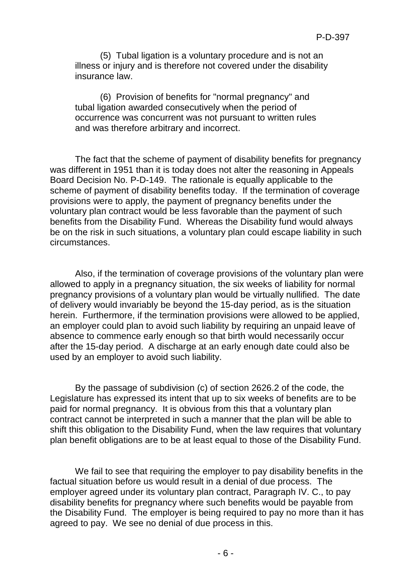(5) Tubal ligation is a voluntary procedure and is not an illness or injury and is therefore not covered under the disability insurance law.

(6) Provision of benefits for "normal pregnancy" and tubal ligation awarded consecutively when the period of occurrence was concurrent was not pursuant to written rules and was therefore arbitrary and incorrect.

The fact that the scheme of payment of disability benefits for pregnancy was different in 1951 than it is today does not alter the reasoning in Appeals Board Decision No. P-D-149. The rationale is equally applicable to the scheme of payment of disability benefits today. If the termination of coverage provisions were to apply, the payment of pregnancy benefits under the voluntary plan contract would be less favorable than the payment of such benefits from the Disability Fund. Whereas the Disability fund would always be on the risk in such situations, a voluntary plan could escape liability in such circumstances.

Also, if the termination of coverage provisions of the voluntary plan were allowed to apply in a pregnancy situation, the six weeks of liability for normal pregnancy provisions of a voluntary plan would be virtually nullified. The date of delivery would invariably be beyond the 15-day period, as is the situation herein. Furthermore, if the termination provisions were allowed to be applied, an employer could plan to avoid such liability by requiring an unpaid leave of absence to commence early enough so that birth would necessarily occur after the 15-day period. A discharge at an early enough date could also be used by an employer to avoid such liability.

By the passage of subdivision (c) of section 2626.2 of the code, the Legislature has expressed its intent that up to six weeks of benefits are to be paid for normal pregnancy. It is obvious from this that a voluntary plan contract cannot be interpreted in such a manner that the plan will be able to shift this obligation to the Disability Fund, when the law requires that voluntary plan benefit obligations are to be at least equal to those of the Disability Fund.

We fail to see that requiring the employer to pay disability benefits in the factual situation before us would result in a denial of due process. The employer agreed under its voluntary plan contract, Paragraph IV. C., to pay disability benefits for pregnancy where such benefits would be payable from the Disability Fund. The employer is being required to pay no more than it has agreed to pay. We see no denial of due process in this.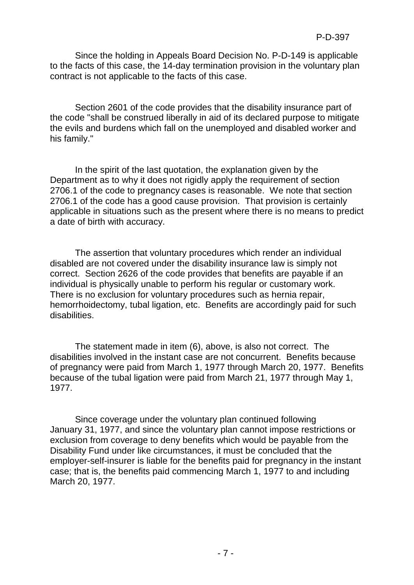Since the holding in Appeals Board Decision No. P-D-149 is applicable to the facts of this case, the 14-day termination provision in the voluntary plan contract is not applicable to the facts of this case.

Section 2601 of the code provides that the disability insurance part of the code "shall be construed liberally in aid of its declared purpose to mitigate the evils and burdens which fall on the unemployed and disabled worker and his family."

In the spirit of the last quotation, the explanation given by the Department as to why it does not rigidly apply the requirement of section 2706.1 of the code to pregnancy cases is reasonable. We note that section 2706.1 of the code has a good cause provision. That provision is certainly applicable in situations such as the present where there is no means to predict a date of birth with accuracy.

The assertion that voluntary procedures which render an individual disabled are not covered under the disability insurance law is simply not correct. Section 2626 of the code provides that benefits are payable if an individual is physically unable to perform his regular or customary work. There is no exclusion for voluntary procedures such as hernia repair, hemorrhoidectomy, tubal ligation, etc. Benefits are accordingly paid for such disabilities.

The statement made in item (6), above, is also not correct. The disabilities involved in the instant case are not concurrent. Benefits because of pregnancy were paid from March 1, 1977 through March 20, 1977. Benefits because of the tubal ligation were paid from March 21, 1977 through May 1, 1977.

Since coverage under the voluntary plan continued following January 31, 1977, and since the voluntary plan cannot impose restrictions or exclusion from coverage to deny benefits which would be payable from the Disability Fund under like circumstances, it must be concluded that the employer-self-insurer is liable for the benefits paid for pregnancy in the instant case; that is, the benefits paid commencing March 1, 1977 to and including March 20, 1977.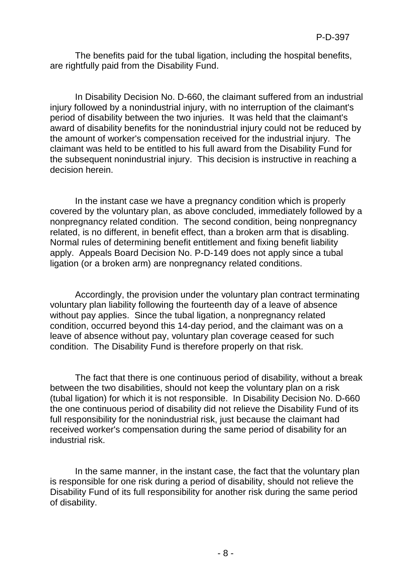The benefits paid for the tubal ligation, including the hospital benefits, are rightfully paid from the Disability Fund.

In Disability Decision No. D-660, the claimant suffered from an industrial injury followed by a nonindustrial injury, with no interruption of the claimant's period of disability between the two injuries. It was held that the claimant's award of disability benefits for the nonindustrial injury could not be reduced by the amount of worker's compensation received for the industrial injury. The claimant was held to be entitled to his full award from the Disability Fund for the subsequent nonindustrial injury. This decision is instructive in reaching a decision herein.

In the instant case we have a pregnancy condition which is properly covered by the voluntary plan, as above concluded, immediately followed by a nonpregnancy related condition. The second condition, being nonpregnancy related, is no different, in benefit effect, than a broken arm that is disabling. Normal rules of determining benefit entitlement and fixing benefit liability apply. Appeals Board Decision No. P-D-149 does not apply since a tubal ligation (or a broken arm) are nonpregnancy related conditions.

Accordingly, the provision under the voluntary plan contract terminating voluntary plan liability following the fourteenth day of a leave of absence without pay applies. Since the tubal ligation, a nonpregnancy related condition, occurred beyond this 14-day period, and the claimant was on a leave of absence without pay, voluntary plan coverage ceased for such condition. The Disability Fund is therefore properly on that risk.

The fact that there is one continuous period of disability, without a break between the two disabilities, should not keep the voluntary plan on a risk (tubal ligation) for which it is not responsible. In Disability Decision No. D-660 the one continuous period of disability did not relieve the Disability Fund of its full responsibility for the nonindustrial risk, just because the claimant had received worker's compensation during the same period of disability for an industrial risk.

In the same manner, in the instant case, the fact that the voluntary plan is responsible for one risk during a period of disability, should not relieve the Disability Fund of its full responsibility for another risk during the same period of disability.